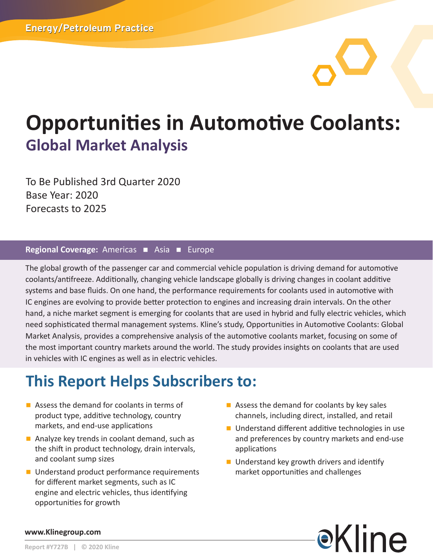# **Opportunities in Automotive Coolants: Global Market Analysis**

To Be Published 3rd Quarter 2020 Base Year: 2020 Forecasts to 2025

#### Regional Coverage: Americas **n** Asia **n** Europe

The global growth of the passenger car and commercial vehicle population is driving demand for automotive coolants/antifreeze. Additionally, changing vehicle landscape globally is driving changes in coolant additive systems and base fluids. On one hand, the performance requirements for coolants used in automotive with IC engines are evolving to provide better protection to engines and increasing drain intervals. On the other hand, a niche market segment is emerging for coolants that are used in hybrid and fully electric vehicles, which need sophisticated thermal management systems. Kline's study, Opportunities in Automotive Coolants: Global Market Analysis, provides a comprehensive analysis of the automotive coolants market, focusing on some of the most important country markets around the world. The study provides insights on coolants that are used in vehicles with IC engines as well as in electric vehicles.

## **This Report Helps Subscribers to:**

- $\blacksquare$  Assess the demand for coolants in terms of product type, additive technology, country markets, and end-use applications
- $\blacksquare$  Analyze key trends in coolant demand, such as the shift in product technology, drain intervals, and coolant sump sizes
- Understand product performance requirements for different market segments, such as IC engine and electric vehicles, thus identifying opportunities for growth
- $\blacksquare$  Assess the demand for coolants by key sales channels, including direct, installed, and retail
- $\blacksquare$  Understand different additive technologies in use and preferences by country markets and end-use applications
- $\blacksquare$  Understand key growth drivers and identify market opportunities and challenges



#### **www.Klinegroup.com**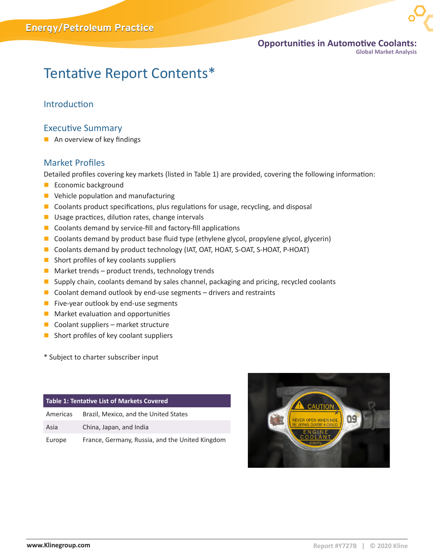

**Global Market Analysis** 

## Tentative Report Contents\*

#### Introduction

#### Executive Summary

 $\blacksquare$  An overview of key findings

#### Market Profiles

Detailed profiles covering key markets (listed in Table 1) are provided, covering the following information:

- **Exercise Economic background**
- $\blacksquare$  Vehicle population and manufacturing
- $\blacksquare$  Coolants product specifications, plus regulations for usage, recycling, and disposal
- $\blacksquare$  Usage practices, dilution rates, change intervals
- $\blacksquare$  Coolants demand by service-fill and factory-fill applications
- $\Box$  Coolants demand by product base fluid type (ethylene glycol, propylene glycol, glycerin)
- Coolants demand by product technology (IAT, OAT, HOAT, S-OAT, S-HOAT, P-HOAT)
- $\blacksquare$  Short profiles of key coolants suppliers
- $\blacksquare$  Market trends product trends, technology trends
- **n** Supply chain, coolants demand by sales channel, packaging and pricing, recycled coolants
- $\Box$  Coolant demand outlook by end-use segments drivers and restraints
- $\blacksquare$  Five-year outlook by end-use segments
- $\blacksquare$  Market evaluation and opportunities
- $\Box$  Coolant suppliers market structure
- $\blacksquare$  Short profiles of key coolant suppliers

\* Subject to charter subscriber input

| Table 1: Tentative List of Markets Covered |                                                 |  |  |
|--------------------------------------------|-------------------------------------------------|--|--|
| Americas                                   | Brazil, Mexico, and the United States           |  |  |
| Asia                                       | China, Japan, and India                         |  |  |
| Europe                                     | France, Germany, Russia, and the United Kingdom |  |  |

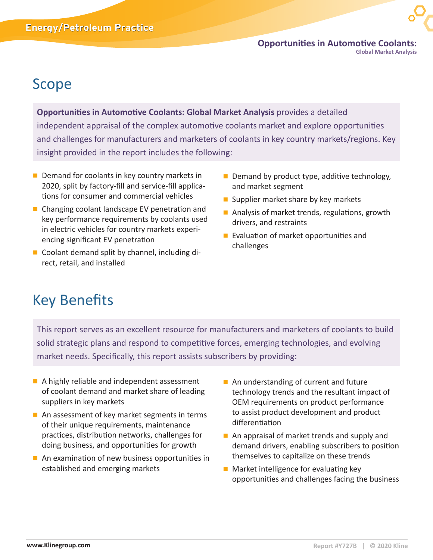**Opportunities in Automotive Coolants: Global Market Analysis** 

### Scope

**Opportunities in Automotive Coolants: Global Market Analysis** provides a detailed independent appraisal of the complex automotive coolants market and explore opportunities and challenges for manufacturers and marketers of coolants in key country markets/regions. Key insight provided in the report includes the following:

- $\blacksquare$  Demand for coolants in key country markets in 2020, split by factory-fill and service-fill applications for consumer and commercial vehicles
- Changing coolant landscape EV penetration and key performance requirements by coolants used in electric vehicles for country markets experiencing significant EV penetration
- $\blacksquare$  Coolant demand split by channel, including direct, retail, and installed
- $\blacksquare$  Demand by product type, additive technology, and market segment
- **n** Supplier market share by key markets
- $\blacksquare$  Analysis of market trends, regulations, growth drivers, and restraints
- $\blacksquare$  Evaluation of market opportunities and challenges

## Key Benefits

This report serves as an excellent resource for manufacturers and marketers of coolants to build solid strategic plans and respond to competitive forces, emerging technologies, and evolving market needs. Specifically, this report assists subscribers by providing:

- A highly reliable and independent assessment of coolant demand and market share of leading suppliers in key markets
- $\blacksquare$  An assessment of key market segments in terms of their unique requirements, maintenance practices, distribution networks, challenges for doing business, and opportunities for growth
- $\blacksquare$  An examination of new business opportunities in established and emerging markets
- $\blacksquare$  An understanding of current and future technology trends and the resultant impact of OEM requirements on product performance to assist product development and product differentiation
- $\blacksquare$  An appraisal of market trends and supply and demand drivers, enabling subscribers to position themselves to capitalize on these trends
- $\blacksquare$  Market intelligence for evaluating key opportunities and challenges facing the business